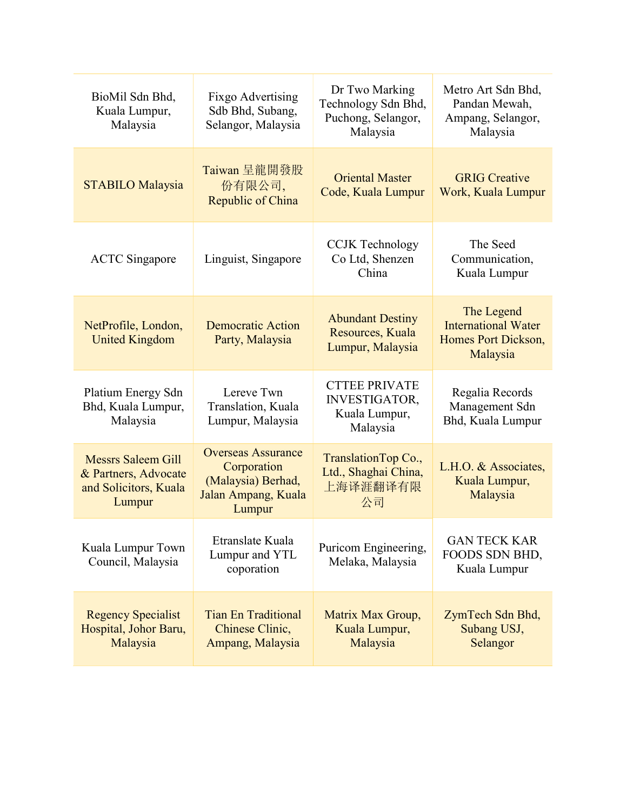| BioMil Sdn Bhd,<br>Kuala Lumpur,<br>Malaysia                                         | Fixgo Advertising<br>Sdb Bhd, Subang,<br>Selangor, Malaysia                                     | Dr Two Marking<br>Technology Sdn Bhd,<br>Puchong, Selangor,<br>Malaysia   | Metro Art Sdn Bhd,<br>Pandan Mewah,<br>Ampang, Selangor,<br>Malaysia        |
|--------------------------------------------------------------------------------------|-------------------------------------------------------------------------------------------------|---------------------------------------------------------------------------|-----------------------------------------------------------------------------|
| <b>STABILO Malaysia</b>                                                              | Taiwan 呈龍開發股<br>份有限公司,<br>Republic of China                                                     | <b>Oriental Master</b><br>Code, Kuala Lumpur                              | <b>GRIG</b> Creative<br>Work, Kuala Lumpur                                  |
| <b>ACTC</b> Singapore                                                                | Linguist, Singapore                                                                             | <b>CCJK</b> Technology<br>Co Ltd, Shenzen<br>China                        | The Seed<br>Communication,<br>Kuala Lumpur                                  |
| NetProfile, London,<br><b>United Kingdom</b>                                         | <b>Democratic Action</b><br>Party, Malaysia                                                     | <b>Abundant Destiny</b><br>Resources, Kuala<br>Lumpur, Malaysia           | The Legend<br><b>International Water</b><br>Homes Port Dickson,<br>Malaysia |
| Platium Energy Sdn<br>Bhd, Kuala Lumpur,<br>Malaysia                                 | Lereve Twn<br>Translation, Kuala<br>Lumpur, Malaysia                                            | <b>CTTEE PRIVATE</b><br><b>INVESTIGATOR,</b><br>Kuala Lumpur,<br>Malaysia | Regalia Records<br>Management Sdn<br>Bhd, Kuala Lumpur                      |
| <b>Messrs Saleem Gill</b><br>& Partners, Advocate<br>and Solicitors, Kuala<br>Lumpur | <b>Overseas Assurance</b><br>Corporation<br>(Malaysia) Berhad,<br>Jalan Ampang, Kuala<br>Lumpur | TranslationTop Co.,<br>Ltd., Shaghai China,<br>上海译涯翻译有限<br>公司             | L.H.O. & Associates,<br>Kuala Lumpur,<br>Malaysia                           |
| Kuala Lumpur Town<br>Council, Malaysia                                               | Etranslate Kuala<br>Lumpur and YTL<br>coporation                                                | Puricom Engineering,<br>Melaka, Malaysia                                  | <b>GAN TECK KAR</b><br>FOODS SDN BHD,<br>Kuala Lumpur                       |
| <b>Regency Specialist</b><br>Hospital, Johor Baru,<br>Malaysia                       | <b>Tian En Traditional</b><br>Chinese Clinic,<br>Ampang, Malaysia                               | Matrix Max Group,<br>Kuala Lumpur,<br>Malaysia                            | ZymTech Sdn Bhd,<br>Subang USJ,<br>Selangor                                 |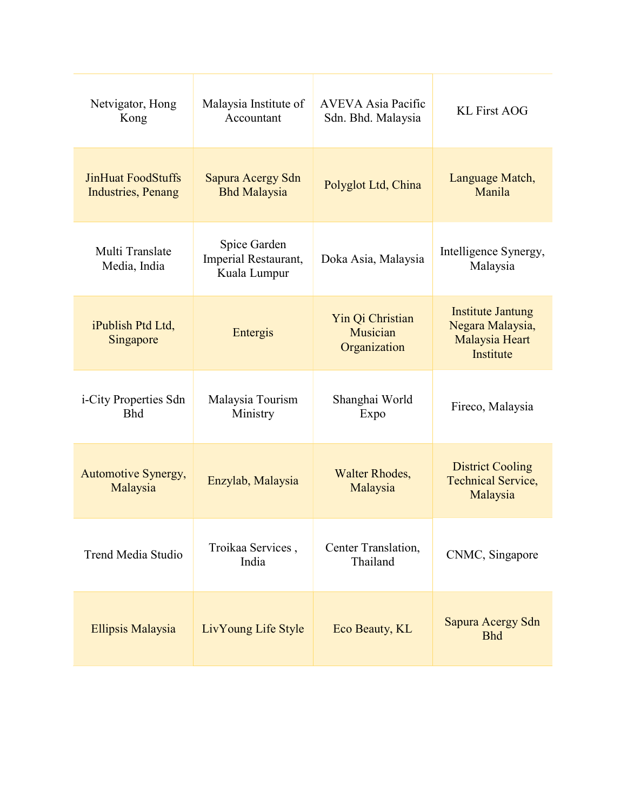| Netvigator, Hong<br>Kong                                | Malaysia Institute of<br>Accountant                  | <b>AVEVA Asia Pacific</b><br>Sdn. Bhd. Malaysia | <b>KL First AOG</b>                                                         |
|---------------------------------------------------------|------------------------------------------------------|-------------------------------------------------|-----------------------------------------------------------------------------|
| <b>JinHuat FoodStuffs</b><br><b>Industries</b> , Penang | Sapura Acergy Sdn<br><b>Bhd Malaysia</b>             | Polyglot Ltd, China                             | Language Match,<br>Manila                                                   |
| Multi Translate<br>Media, India                         | Spice Garden<br>Imperial Restaurant,<br>Kuala Lumpur | Doka Asia, Malaysia                             | Intelligence Synergy,<br>Malaysia                                           |
| iPublish Ptd Ltd,<br>Singapore                          | Entergis                                             | Yin Qi Christian<br>Musician<br>Organization    | <b>Institute Jantung</b><br>Negara Malaysia,<br>Malaysia Heart<br>Institute |
| <i>i</i> -City Properties Sdn<br><b>Bhd</b>             | Malaysia Tourism<br>Ministry                         | Shanghai World<br>Expo                          | Fireco, Malaysia                                                            |
| Automotive Synergy,<br>Malaysia                         | Enzylab, Malaysia                                    | <b>Walter Rhodes,</b><br>Malaysia               | <b>District Cooling</b><br><b>Technical Service,</b><br>Malaysia            |
| Trend Media Studio                                      | Troikaa Services,<br>India                           | Center Translation,<br>Thailand                 | CNMC, Singapore                                                             |
| Ellipsis Malaysia                                       | LivYoung Life Style                                  | Eco Beauty, KL                                  | Sapura Acergy Sdn<br><b>Bhd</b>                                             |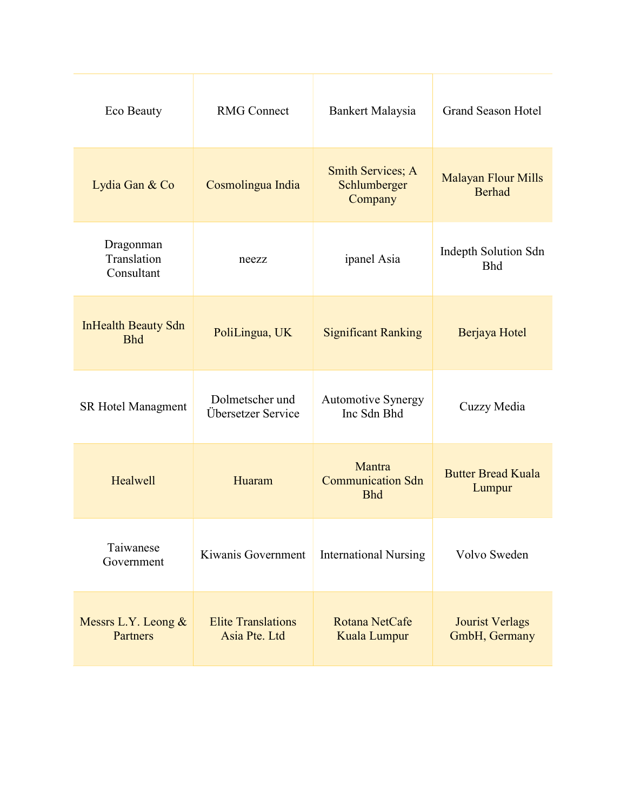| Eco Beauty                               | <b>RMG Connect</b>                         | Bankert Malaysia                                    | <b>Grand Season Hotel</b>                   |
|------------------------------------------|--------------------------------------------|-----------------------------------------------------|---------------------------------------------|
| Lydia Gan & Co                           | Cosmolingua India                          | <b>Smith Services; A</b><br>Schlumberger<br>Company | <b>Malayan Flour Mills</b><br><b>Berhad</b> |
| Dragonman<br>Translation<br>Consultant   | neezz                                      | ipanel Asia                                         | Indepth Solution Sdn<br><b>Bhd</b>          |
| <b>InHealth Beauty Sdn</b><br><b>Bhd</b> | PoliLingua, UK                             | <b>Significant Ranking</b>                          | Berjaya Hotel                               |
| <b>SR Hotel Managment</b>                | Dolmetscher und<br>Übersetzer Service      | <b>Automotive Synergy</b><br>Inc Sdn Bhd            | Cuzzy Media                                 |
| Healwell                                 | Huaram                                     | Mantra<br><b>Communication Sdn</b><br><b>Bhd</b>    | <b>Butter Bread Kuala</b><br>Lumpur         |
| Taiwanese<br>Government                  | Kiwanis Government                         | <b>International Nursing</b>                        | Volvo Sweden                                |
| Messrs L.Y. Leong $&$<br>Partners        | <b>Elite Translations</b><br>Asia Pte. Ltd | Rotana NetCafe<br>Kuala Lumpur                      | <b>Jourist Verlags</b><br>GmbH, Germany     |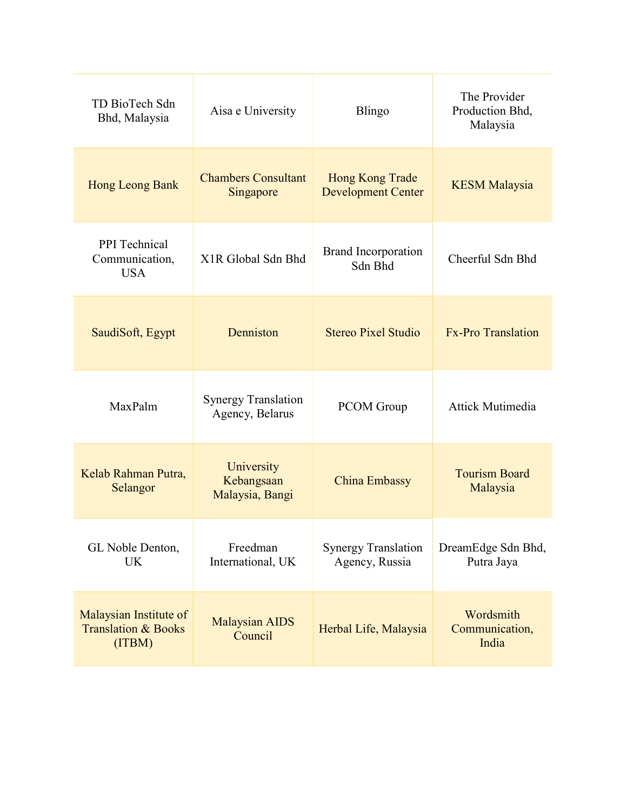| TD BioTech Sdn<br>Bhd, Malaysia                                    | Aisa e University                             | Blingo                                              | The Provider<br>Production Bhd,<br>Malaysia |
|--------------------------------------------------------------------|-----------------------------------------------|-----------------------------------------------------|---------------------------------------------|
| Hong Leong Bank                                                    | <b>Chambers Consultant</b><br>Singapore       | <b>Hong Kong Trade</b><br><b>Development Center</b> | <b>KESM Malaysia</b>                        |
| <b>PPI</b> Technical<br>Communication,<br><b>USA</b>               | X <sub>1</sub> R Global Sdn Bhd               | <b>Brand Incorporation</b><br>Sdn Bhd               | Cheerful Sdn Bhd                            |
| SaudiSoft, Egypt                                                   | Denniston                                     | <b>Stereo Pixel Studio</b>                          | <b>Fx-Pro Translation</b>                   |
| MaxPalm                                                            | <b>Synergy Translation</b><br>Agency, Belarus | PCOM Group                                          | <b>Attick Mutimedia</b>                     |
| Kelab Rahman Putra,<br>Selangor                                    | University<br>Kebangsaan<br>Malaysia, Bangi   | China Embassy                                       | <b>Tourism Board</b><br>Malaysia            |
| GL Noble Denton,<br>UK                                             | Freedman<br>International, UK                 | <b>Synergy Translation</b><br>Agency, Russia        | DreamEdge Sdn Bhd,<br>Putra Jaya            |
| Malaysian Institute of<br><b>Translation &amp; Books</b><br>(ITBM) | <b>Malaysian AIDS</b><br>Council              | Herbal Life, Malaysia                               | Wordsmith<br>Communication,<br>India        |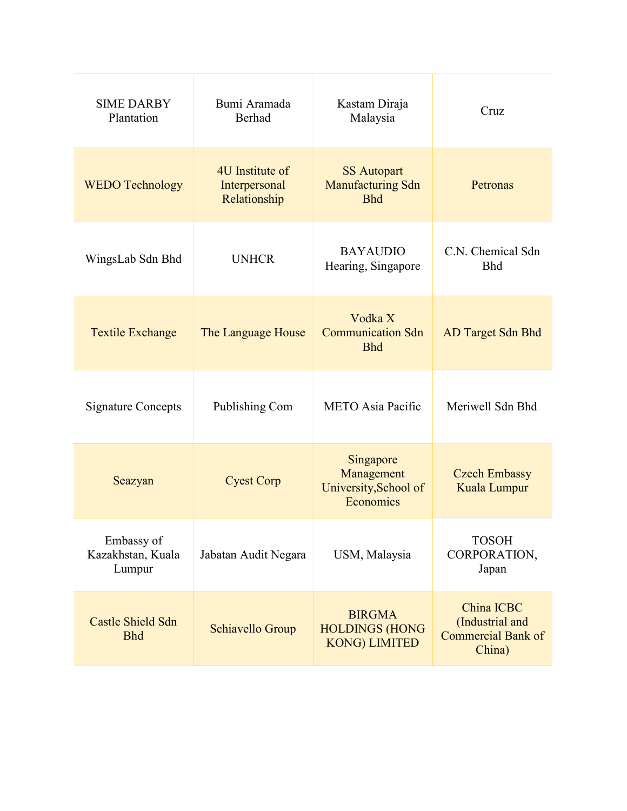| <b>SIME DARBY</b><br>Plantation           | Bumi Aramada<br>Berhad                           | Kastam Diraja<br>Malaysia                                      | Cruz                                                          |
|-------------------------------------------|--------------------------------------------------|----------------------------------------------------------------|---------------------------------------------------------------|
| <b>WEDO Technology</b>                    | 4U Institute of<br>Interpersonal<br>Relationship | <b>SS Autopart</b><br><b>Manufacturing Sdn</b><br><b>Bhd</b>   | Petronas                                                      |
| WingsLab Sdn Bhd                          | <b>UNHCR</b>                                     | <b>BAYAUDIO</b><br>Hearing, Singapore                          | C.N. Chemical Sdn<br><b>Bhd</b>                               |
| <b>Textile Exchange</b>                   | The Language House                               | Vodka X<br><b>Communication Sdn</b><br><b>Bhd</b>              | <b>AD Target Sdn Bhd</b>                                      |
| <b>Signature Concepts</b>                 | Publishing Com                                   | <b>METO</b> Asia Pacific                                       | Meriwell Sdn Bhd                                              |
| Seazyan                                   | <b>Cyest Corp</b>                                | Singapore<br>Management<br>University, School of<br>Economics  | <b>Czech Embassy</b><br>Kuala Lumpur                          |
| Embassy of<br>Kazakhstan, Kuala<br>Lumpur | Jabatan Audit Negara                             | USM, Malaysia                                                  | <b>TOSOH</b><br>CORPORATION,<br>Japan                         |
| Castle Shield Sdn<br><b>Bhd</b>           | Schiavello Group                                 | <b>BIRGMA</b><br><b>HOLDINGS (HONG</b><br><b>KONG) LIMITED</b> | China ICBC<br>(Industrial and<br>Commercial Bank of<br>China) |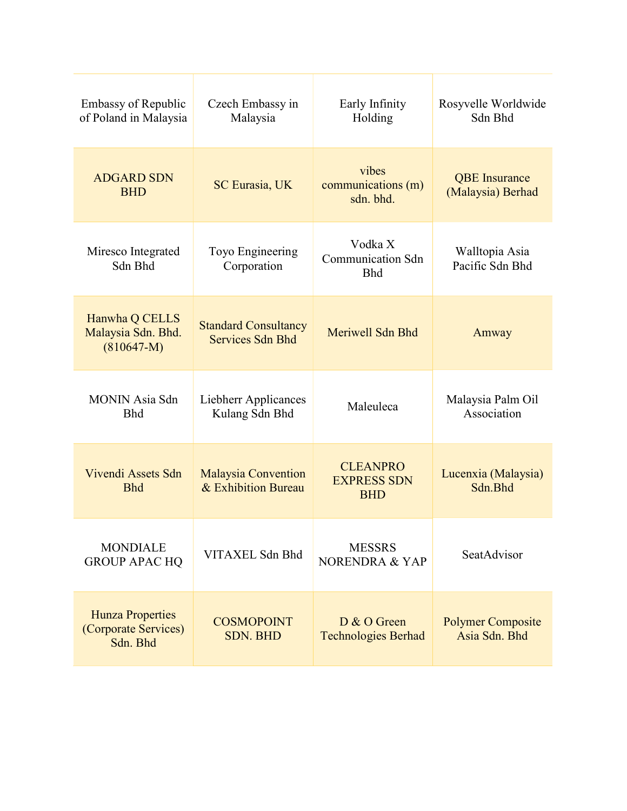| <b>Embassy of Republic</b><br>of Poland in Malaysia         | Czech Embassy in<br>Malaysia                      | Early Infinity<br>Holding                           | Rosyvelle Worldwide<br>Sdn Bhd            |
|-------------------------------------------------------------|---------------------------------------------------|-----------------------------------------------------|-------------------------------------------|
| <b>ADGARD SDN</b><br><b>BHD</b>                             | <b>SC Eurasia, UK</b>                             | vibes<br>communications (m)<br>sdn. bhd.            | <b>QBE</b> Insurance<br>(Malaysia) Berhad |
| Miresco Integrated<br>Sdn Bhd                               | Toyo Engineering<br>Corporation                   | Vodka X<br><b>Communication Sdn</b><br><b>Bhd</b>   | Walltopia Asia<br>Pacific Sdn Bhd         |
| Hanwha Q CELLS<br>Malaysia Sdn. Bhd.<br>$(810647-M)$        | <b>Standard Consultancy</b><br>Services Sdn Bhd   | Meriwell Sdn Bhd                                    | Amway                                     |
| <b>MONIN</b> Asia Sdn<br><b>Bhd</b>                         | Liebherr Applicances<br>Kulang Sdn Bhd            | Maleuleca                                           | Malaysia Palm Oil<br>Association          |
| Vivendi Assets Sdn<br><b>Bhd</b>                            | <b>Malaysia Convention</b><br>& Exhibition Bureau | <b>CLEANPRO</b><br><b>EXPRESS SDN</b><br><b>BHD</b> | Lucenxia (Malaysia)<br>Sdn.Bhd            |
| <b>MONDIALE</b><br><b>GROUP APAC HQ</b>                     | VITAXEL Sdn Bhd                                   | <b>MESSRS</b><br>NORENDRA & YAP                     | SeatAdvisor                               |
| <b>Hunza Properties</b><br>(Corporate Services)<br>Sdn. Bhd | <b>COSMOPOINT</b><br><b>SDN. BHD</b>              | D & O Green<br><b>Technologies Berhad</b>           | <b>Polymer Composite</b><br>Asia Sdn. Bhd |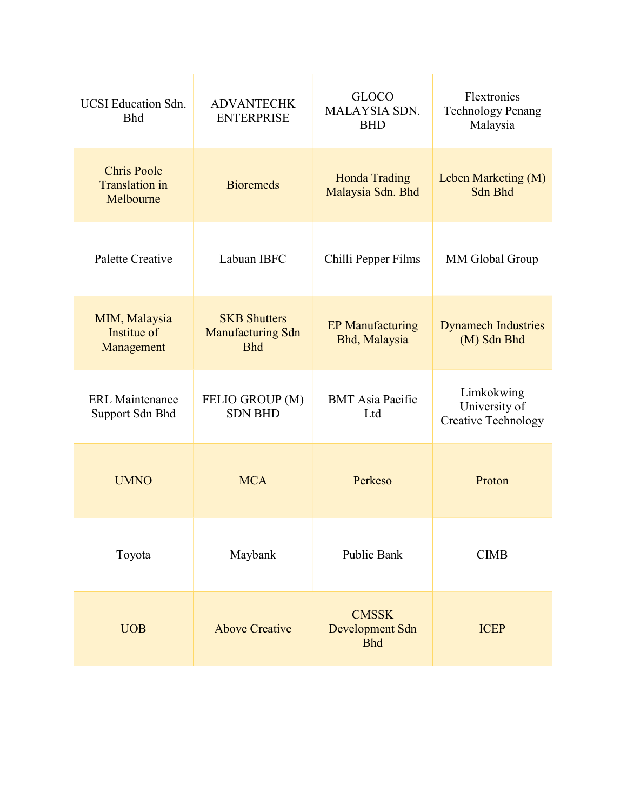| <b>UCSI</b> Education Sdn.<br><b>Bhd</b>                 | <b>ADVANTECHK</b><br><b>ENTERPRISE</b>                        | <b>GLOCO</b><br>MALAYSIA SDN.<br><b>BHD</b>   | Flextronics<br><b>Technology Penang</b><br>Malaysia       |
|----------------------------------------------------------|---------------------------------------------------------------|-----------------------------------------------|-----------------------------------------------------------|
| <b>Chris Poole</b><br><b>Translation</b> in<br>Melbourne | <b>Bioremeds</b>                                              | Honda Trading<br>Malaysia Sdn. Bhd            | Leben Marketing (M)<br>Sdn Bhd                            |
| Palette Creative                                         | Labuan IBFC                                                   | Chilli Pepper Films                           | MM Global Group                                           |
| MIM, Malaysia<br>Institue of<br>Management               | <b>SKB Shutters</b><br><b>Manufacturing Sdn</b><br><b>Bhd</b> | <b>EP Manufacturing</b><br>Bhd, Malaysia      | <b>Dynamech Industries</b><br>(M) Sdn Bhd                 |
| <b>ERL</b> Maintenance<br>Support Sdn Bhd                | FELIO GROUP (M)<br><b>SDN BHD</b>                             | <b>BMT</b> Asia Pacific<br>Ltd                | Limkokwing<br>University of<br><b>Creative Technology</b> |
| <b>UMNO</b>                                              | <b>MCA</b>                                                    | Perkeso                                       | Proton                                                    |
| Toyota                                                   | Maybank                                                       | <b>Public Bank</b>                            | <b>CIMB</b>                                               |
| <b>UOB</b>                                               | <b>Above Creative</b>                                         | <b>CMSSK</b><br>Development Sdn<br><b>Bhd</b> | <b>ICEP</b>                                               |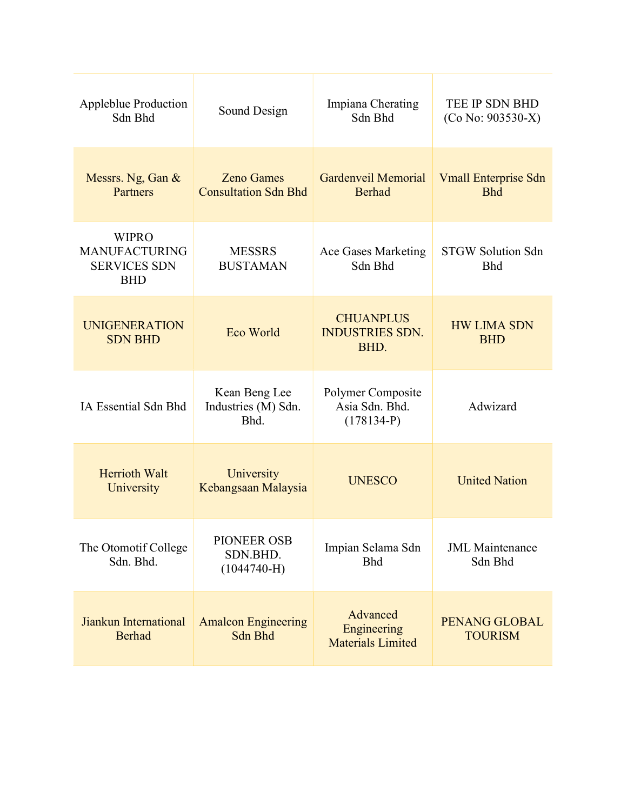| <b>Appleblue Production</b><br>Sdn Bhd                                    | Sound Design                                     | Impiana Cherating<br>Sdn Bhd                        | TEE IP SDN BHD<br>$(Co No: 903530-X)$     |
|---------------------------------------------------------------------------|--------------------------------------------------|-----------------------------------------------------|-------------------------------------------|
| Messrs. Ng, Gan &<br><b>Partners</b>                                      | <b>Zeno Games</b><br><b>Consultation Sdn Bhd</b> | <b>Gardenveil Memorial</b><br>Berhad                | <b>Vmall Enterprise Sdn</b><br><b>Bhd</b> |
| <b>WIPRO</b><br><b>MANUFACTURING</b><br><b>SERVICES SDN</b><br><b>BHD</b> | <b>MESSRS</b><br><b>BUSTAMAN</b>                 | Ace Gases Marketing<br>Sdn Bhd                      | <b>STGW Solution Sdn</b><br><b>Bhd</b>    |
| <b>UNIGENERATION</b><br><b>SDN BHD</b>                                    | Eco World                                        | <b>CHUANPLUS</b><br><b>INDUSTRIES SDN.</b><br>BHD.  | <b>HW LIMA SDN</b><br><b>BHD</b>          |
| IA Essential Sdn Bhd                                                      | Kean Beng Lee<br>Industries (M) Sdn.<br>Bhd.     | Polymer Composite<br>Asia Sdn. Bhd.<br>$(178134-P)$ | Adwizard                                  |
| <b>Herrioth Walt</b><br>University                                        | University<br>Kebangsaan Malaysia                | <b>UNESCO</b>                                       | <b>United Nation</b>                      |
| The Otomotif College<br>Sdn. Bhd.                                         | PIONEER OSB<br>SDN.BHD.<br>$(1044740-H)$         | Impian Selama Sdn<br><b>Bhd</b>                     | <b>JML</b> Maintenance<br>Sdn Bhd         |
| Jiankun International<br><b>Berhad</b>                                    | <b>Amalcon Engineering</b><br>Sdn Bhd            | Advanced<br>Engineering<br><b>Materials Limited</b> | PENANG GLOBAL<br><b>TOURISM</b>           |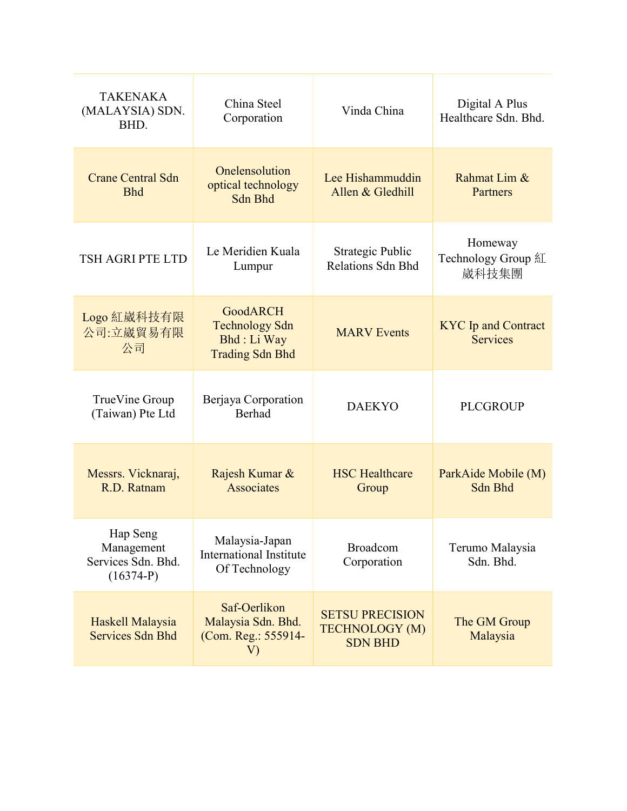| TAKENAKA<br>(MALAYSIA) SDN.<br>BHD.                         | China Steel<br>Corporation                                                         | Vinda China                                                       | Digital A Plus<br>Healthcare Sdn. Bhd.        |
|-------------------------------------------------------------|------------------------------------------------------------------------------------|-------------------------------------------------------------------|-----------------------------------------------|
| <b>Crane Central Sdn</b><br><b>Bhd</b>                      | Onelensolution<br>optical technology<br>Sdn Bhd                                    | Lee Hishammuddin<br>Allen & Gledhill                              | Rahmat Lim &<br>Partners                      |
| TSH AGRI PTE LTD                                            | Le Meridien Kuala<br>Lumpur                                                        | Strategic Public<br><b>Relations Sdn Bhd</b>                      | Homeway<br>Technology Group 紅<br>崴科技集團        |
| Logo 紅崴科技有限<br>公司:立崴貿易有限<br>公司                              | <b>GoodARCH</b><br><b>Technology Sdn</b><br>Bhd : Li Way<br><b>Trading Sdn Bhd</b> | <b>MARV</b> Events                                                | <b>KYC</b> Ip and Contract<br><b>Services</b> |
| TrueVine Group<br>(Taiwan) Pte Ltd                          | Berjaya Corporation<br><b>Berhad</b>                                               | <b>DAEKYO</b>                                                     | <b>PLCGROUP</b>                               |
| Messrs. Vicknaraj,<br>R.D. Ratnam                           | Rajesh Kumar &<br><b>Associates</b>                                                | <b>HSC Healthcare</b><br>Group                                    | ParkAide Mobile (M)<br>Sdn Bhd                |
| Hap Seng<br>Management<br>Services Sdn. Bhd.<br>$(16374-P)$ | Malaysia-Japan<br><b>International Institute</b><br>Of Technology                  | <b>Broadcom</b><br>Corporation                                    | Terumo Malaysia<br>Sdn. Bhd.                  |
| Haskell Malaysia<br><b>Services Sdn Bhd</b>                 | Saf-Oerlikon<br>Malaysia Sdn. Bhd.<br>(Com. Reg.: 555914-<br>V)                    | <b>SETSU PRECISION</b><br><b>TECHNOLOGY (M)</b><br><b>SDN BHD</b> | The GM Group<br>Malaysia                      |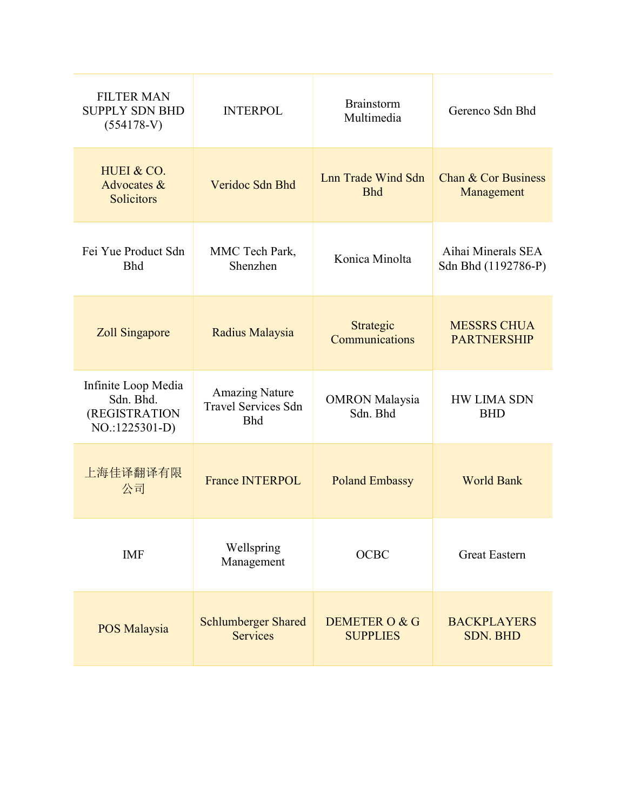| <b>FILTER MAN</b><br><b>SUPPLY SDN BHD</b><br>$(554178-V)$          | <b>INTERPOL</b>                                                   | <b>Brainstorm</b><br>Multimedia   | Gerenco Sdn Bhd                           |
|---------------------------------------------------------------------|-------------------------------------------------------------------|-----------------------------------|-------------------------------------------|
| HUEI & CO.<br>Advocates &<br>Solicitors                             | Veridoc Sdn Bhd                                                   | Lnn Trade Wind Sdn<br><b>Bhd</b>  | Chan & Cor Business<br>Management         |
| Fei Yue Product Sdn<br><b>Bhd</b>                                   | MMC Tech Park,<br>Shenzhen                                        | Konica Minolta                    | Aihai Minerals SEA<br>Sdn Bhd (1192786-P) |
| Zoll Singapore                                                      | Radius Malaysia                                                   | Strategic<br>Communications       | <b>MESSRS CHUA</b><br><b>PARTNERSHIP</b>  |
| Infinite Loop Media<br>Sdn. Bhd.<br>(REGISTRATION<br>NO.:1225301-D) | <b>Amazing Nature</b><br><b>Travel Services Sdn</b><br><b>Bhd</b> | <b>OMRON</b> Malaysia<br>Sdn. Bhd | <b>HW LIMA SDN</b><br><b>BHD</b>          |
| 上海佳译翻译有限<br>公司                                                      | <b>France INTERPOL</b>                                            | <b>Poland Embassy</b>             | <b>World Bank</b>                         |
| <b>IMF</b>                                                          | Wellspring<br>Management                                          | <b>OCBC</b>                       | <b>Great Eastern</b>                      |
| POS Malaysia                                                        | <b>Schlumberger Shared</b><br><b>Services</b>                     | DEMETER O & G<br><b>SUPPLIES</b>  | <b>BACKPLAYERS</b><br><b>SDN. BHD</b>     |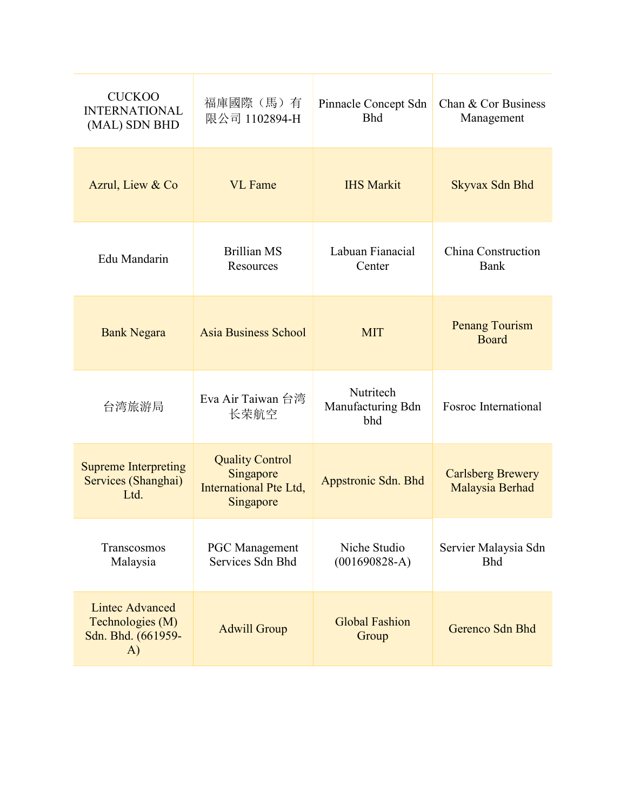| <b>CUCKOO</b><br><b>INTERNATIONAL</b><br>(MAL) SDN BHD                 | 福庫國際 (馬) 有<br>限公司 1102894-H                                                | Pinnacle Concept Sdn<br><b>Bhd</b>    | Chan & Cor Business<br>Management           |
|------------------------------------------------------------------------|----------------------------------------------------------------------------|---------------------------------------|---------------------------------------------|
| Azrul, Liew & Co                                                       | <b>VL</b> Fame                                                             | <b>IHS Markit</b>                     | Skyvax Sdn Bhd                              |
| Edu Mandarin                                                           | <b>Brillian MS</b><br>Resources                                            | Labuan Fianacial<br>Center            | China Construction<br>Bank                  |
| <b>Bank Negara</b>                                                     | Asia Business School                                                       | <b>MIT</b>                            | <b>Penang Tourism</b><br><b>Board</b>       |
| 台湾旅游局                                                                  | Eva Air Taiwan 台湾<br>长荣航空                                                  | Nutritech<br>Manufacturing Bdn<br>bhd | Fosroc International                        |
| <b>Supreme Interpreting</b><br>Services (Shanghai)<br>Ltd.             | <b>Quality Control</b><br>Singapore<br>International Pte Ltd,<br>Singapore | Appstronic Sdn. Bhd                   | <b>Carlsberg Brewery</b><br>Malaysia Berhad |
| Transcosmos<br>Malaysia                                                | <b>PGC</b> Management<br>Services Sdn Bhd                                  | Niche Studio<br>$(001690828-A)$       | Servier Malaysia Sdn<br><b>Bhd</b>          |
| <b>Lintec Advanced</b><br>Technologies (M)<br>Sdn. Bhd. (661959-<br>A) | <b>Adwill Group</b>                                                        | <b>Global Fashion</b><br>Group        | Gerenco Sdn Bhd                             |